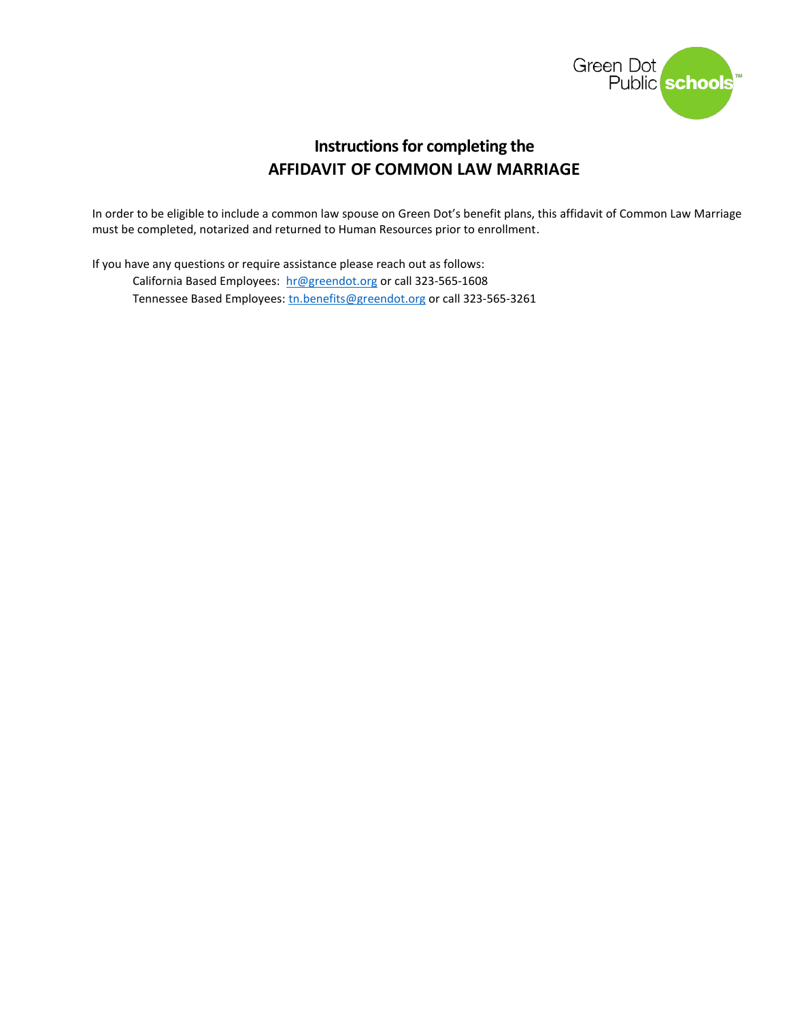

# **Instructions for completing the AFFIDAVIT OF COMMON LAW MARRIAGE**

In order to be eligible to include a common law spouse on Green Dot's benefit plans, this affidavit of Common Law Marriage must be completed, notarized and returned to Human Resources prior to enrollment.

If you have any questions or require assistance please reach out as follows: California Based Employees: [hr@greendot.org](mailto:hr@greendot.org) or call 323-565-1608 Tennessee Based Employees: [tn.benefits@greendot.org](mailto:tn.benefits@greendot.org) or call 323-565-3261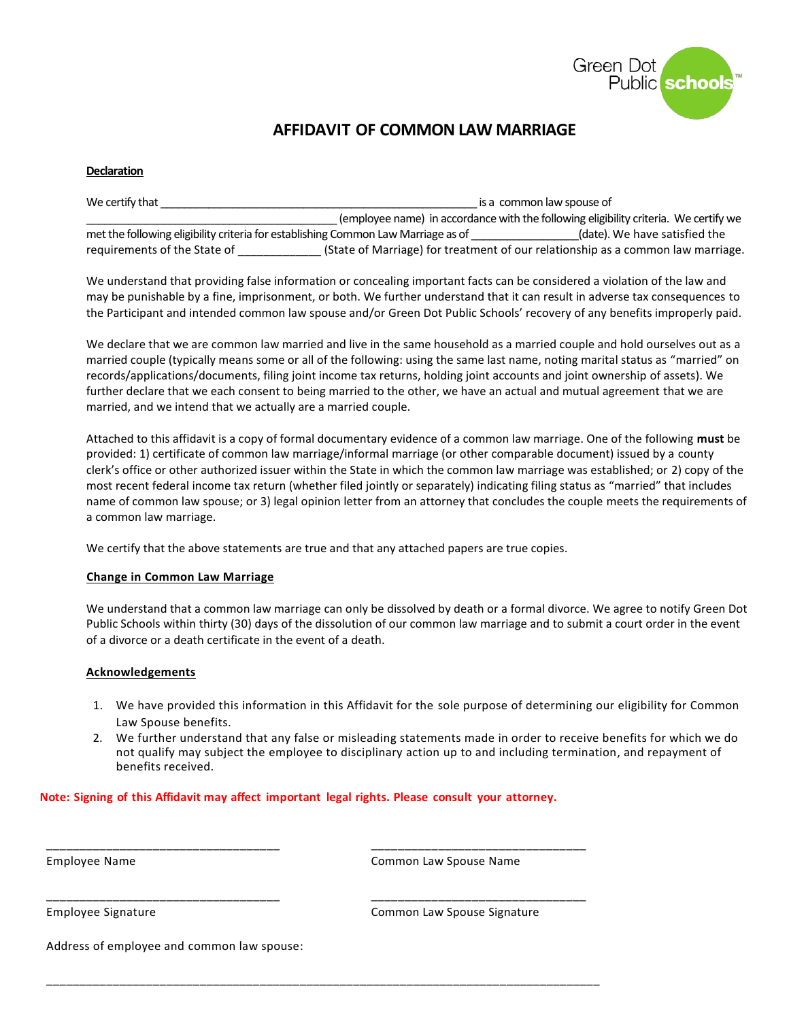

# **AFFIDAVIT OF COMMON LAW MARRIAGE**

#### **Declaration**

| We certify that                                                                   | is a common law spouse of                                                       |                                                                                      |
|-----------------------------------------------------------------------------------|---------------------------------------------------------------------------------|--------------------------------------------------------------------------------------|
|                                                                                   |                                                                                 | (employee name) in accordance with the following eligibility criteria. We certify we |
| met the following eligibility criteria for establishing Common Law Marriage as of |                                                                                 | (date). We have satisfied the                                                        |
| requirements of the State of                                                      | (State of Marriage) for treatment of our relationship as a common law marriage. |                                                                                      |

We understand that providing false information or concealing important facts can be considered a violation of the law and may be punishable by a fine, imprisonment, or both. We further understand that it can result in adverse tax consequences to the Participant and intended common law spouse and/or Green Dot Public Schools' recovery of any benefits improperly paid.

We declare that we are common law married and live in the same household as a married couple and hold ourselves out as a married couple (typically means some or all of the following: using the same last name, noting marital status as "married" on records/applications/documents, filing joint income tax returns, holding joint accounts and joint ownership of assets). We further declare that we each consent to being married to the other, we have an actual and mutual agreement that we are married, and we intend that we actually are a married couple.

Attached to this affidavit is a copy of formal documentary evidence of a common law marriage. One of the following **must** be provided: 1) certificate of common law marriage/informal marriage (or other comparable document) issued by a county clerk's office or other authorized issuer within the State in which the common law marriage was established; or 2) copy of the most recent federal income tax return (whether filed jointly or separately) indicating filing status as "married" that includes name of common law spouse; or 3) legal opinion letter from an attorney that concludes the couple meets the requirements of a common law marriage.

We certify that the above statements are true and that any attached papers are true copies.

## **Change in Common Law Marriage**

We understand that a common law marriage can only be dissolved by death or a formal divorce. We agree to notify Green Dot Public Schools within thirty (30) days of the dissolution of our common law marriage and to submit a court order in the event of a divorce or a death certificate in the event of a death.

#### **Acknowledgements**

- 1. We have provided this information in this Affidavit for the sole purpose of determining our eligibility for Common Law Spouse benefits.
- 2. We further understand that any false or misleading statements made in order to receive benefits for which we do not qualify may subject the employee to disciplinary action up to and including termination, and repayment of benefits received.

## **Note: Signing of this Affidavit may affect important legal rights. Please consult your attorney.**

\_\_\_\_\_\_\_\_\_\_\_\_\_\_\_\_\_\_\_\_\_\_\_\_\_\_\_\_\_\_\_\_\_\_\_ \_\_\_\_\_\_\_\_\_\_\_\_\_\_\_\_\_\_\_\_\_\_\_\_\_\_\_\_\_\_\_\_

\_\_\_\_\_\_\_\_\_\_\_\_\_\_\_\_\_\_\_\_\_\_\_\_\_\_\_\_\_\_\_\_\_\_\_ \_\_\_\_\_\_\_\_\_\_\_\_\_\_\_\_\_\_\_\_\_\_\_\_\_\_\_\_\_\_\_\_

\_\_\_\_\_\_\_\_\_\_\_\_\_\_\_\_\_\_\_\_\_\_\_\_\_\_\_\_\_\_\_\_\_\_\_\_\_\_\_\_\_\_\_\_\_\_\_\_\_\_\_\_\_\_\_\_\_\_\_\_\_\_\_\_\_\_\_\_\_\_\_\_\_\_\_\_\_\_\_\_\_\_\_

Employee Name Common Law Spouse Name

Employee Signature Common Law Spouse Signature

Address of employee and common law spouse: